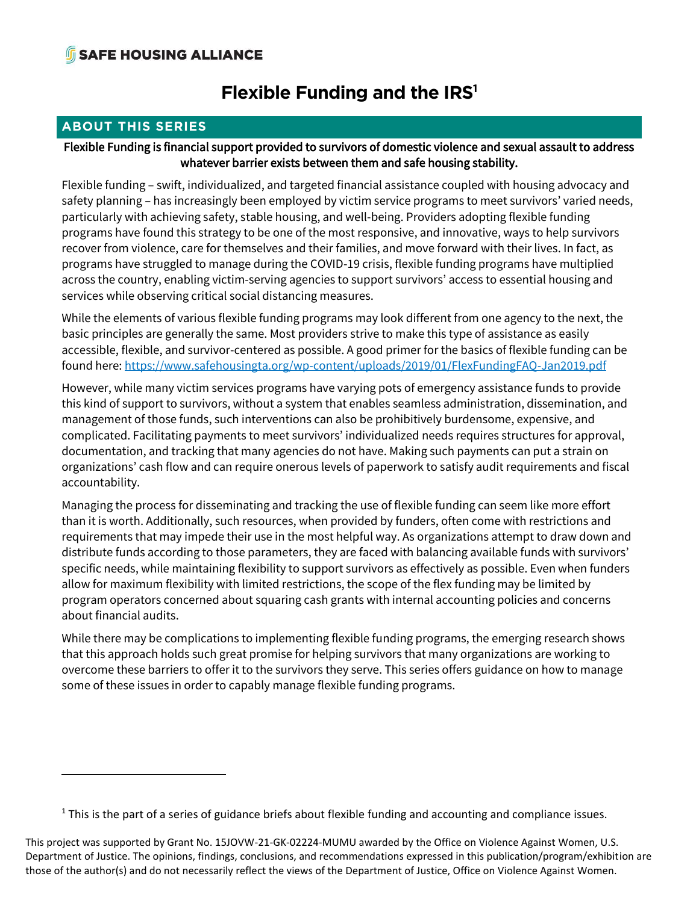# **Flexible Funding and the IRS<sup>1</sup>**

### **ABOUT THIS SERIES** Flexible Funding is financial support provided to survivors of domestic violence and sexual assault to address whatever barrier exists between them and safe housing stability.

Flexible funding – swift, individualized, and targeted financial assistance coupled with housing advocacy and safety planning – has increasingly been employed by victim service programs to meet survivors' varied needs, particularly with achieving safety, stable housing, and well-being. Providers adopting flexible funding programs have found this strategy to be one of the most responsive, and innovative, ways to help survivors recover from violence, care for themselves and their families, and move forward with their lives. In fact, as programs have struggled to manage during the COVID-19 crisis, flexible funding programs have multiplied across the country, enabling victim-serving agencies to support survivors' access to essential housing and services while observing critical social distancing measures.

While the elements of various flexible funding programs may look different from one agency to the next, the basic principles are generally the same. Most providers strive to make this type of assistance as easily accessible, flexible, and survivor-centered as possible. A good primer for the basics of flexible funding can be found here[: https://www.safehousingta.org/wp-content/uploads/2019/01/FlexFundingFAQ-Jan2019.pdf](https://www.safehousingta.org/wp-content/uploads/2019/01/FlexFundingFAQ-Jan2019.pdf)

However, while many victim services programs have varying pots of emergency assistance funds to provide this kind of support to survivors, without a system that enables seamless administration, dissemination, and management of those funds, such interventions can also be prohibitively burdensome, expensive, and complicated. Facilitating payments to meet survivors' individualized needs requires structures for approval, documentation, and tracking that many agencies do not have. Making such payments can put a strain on organizations' cash flow and can require onerous levels of paperwork to satisfy audit requirements and fiscal accountability.

Managing the process for disseminating and tracking the use of flexible funding can seem like more effort than it is worth. Additionally, such resources, when provided by funders, often come with restrictions and requirements that may impede their use in the most helpful way. As organizations attempt to draw down and distribute funds according to those parameters, they are faced with balancing available funds with survivors' specific needs, while maintaining flexibility to support survivors as effectively as possible. Even when funders allow for maximum flexibility with limited restrictions, the scope of the flex funding may be limited by program operators concerned about squaring cash grants with internal accounting policies and concerns about financial audits.

While there may be complications to implementing flexible funding programs, the emerging research shows that this approach holds such great promise for helping survivors that many organizations are working to overcome these barriers to offer it to the survivors they serve. This series offers guidance on how to manage some of these issues in order to capably manage flexible funding programs.

<sup>&</sup>lt;sup>1</sup> This is the part of a series of guidance briefs about flexible funding and accounting and compliance issues.

This project was supported by Grant No. 15JOVW-21-GK-02224-MUMU awarded by the Office on Violence Against Women, U.S. Department of Justice. The opinions, findings, conclusions, and recommendations expressed in this publication/program/exhibition are those of the author(s) and do not necessarily reflect the views of the Department of Justice, Office on Violence Against Women.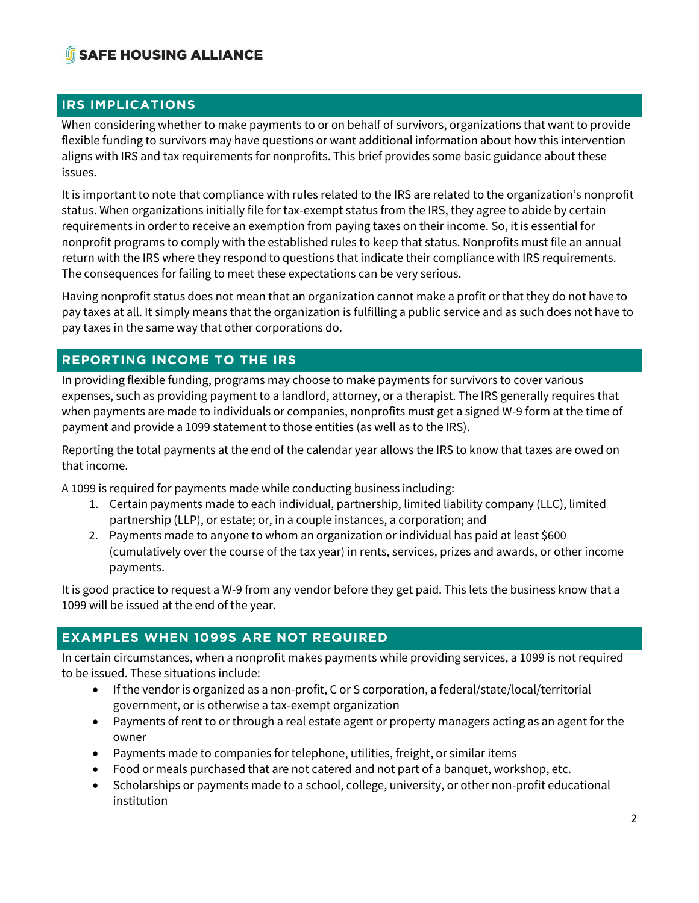# **IRS IMPLICATIONS**

When considering whether to make payments to or on behalf of survivors, organizations that want to provide flexible funding to survivors may have questions or want additional information about how this intervention aligns with IRS and tax requirements for nonprofits. This brief provides some basic guidance about these issues.

It is important to note that compliance with rules related to the IRS are related to the organization's nonprofit status. When organizations initially file for tax-exempt status from the IRS, they agree to abide by certain requirements in order to receive an exemption from paying taxes on their income. So, it is essential for nonprofit programs to comply with the established rules to keep that status. Nonprofits must file an annual return with the IRS where they respond to questions that indicate their compliance with IRS requirements. The consequences for failing to meet these expectations can be very serious.

Having nonprofit status does not mean that an organization cannot make a profit or that they do not have to pay taxes at all. It simply means that the organization is fulfilling a public service and as such does not have to pay taxes in the same way that other corporations do.

# **REPORT INCOME TO THE IRST INCOME TO THE IRST INCOME.**

In providing flexible funding, programs may choose to make payments for survivors to cover various expenses, such as providing payment to a landlord, attorney, or a therapist. The IRS generally requires that when payments are made to individuals or companies, nonprofits must get a signed W-9 form at the time of payment and provide a 1099 statement to those entities (as well as to the IRS).

Reporting the total payments at the end of the calendar year allows the IRS to know that taxes are owed on that income.

A 1099 is required for payments made while conducting business including:

- 1. Certain payments made to each individual, partnership, limited liability company (LLC), limited partnership (LLP), or estate; or, in a couple instances, a corporation; and
- 2. Payments made to anyone to whom an organization or individual has paid at least \$600 (cumulatively over the course of the tax year) in rents, services, prizes and awards, or other income payments.

It is good practice to request a W-9 from any vendor before they get paid. This lets the business know that a 1099 will be issued at the end of the year.

# **EXAMPLES WHEN 1099S ARE NOT REQUIRED**

In certain circumstances, when a nonprofit makes payments while providing services, a 1099 is not required to be issued. These situations include:

- If the vendor is organized as a non-profit, C or S corporation, a federal/state/local/territorial government, or is otherwise a tax-exempt organization
- Payments of rent to or through a real estate agent or property managers acting as an agent for the owner
- Payments made to companies for telephone, utilities, freight, or similar items
- Food or meals purchased that are not catered and not part of a banquet, workshop, etc.
- Scholarships or payments made to a school, college, university, or other non-profit educational institution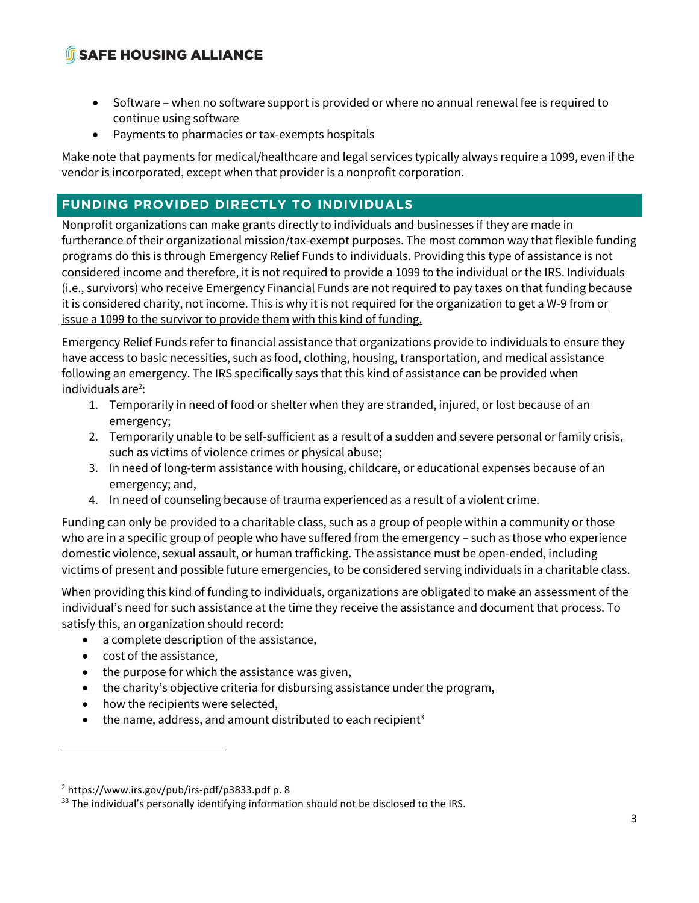- Software when no software support is provided or where no annual renewal fee is required to continue using software
- Payments to pharmacies or tax-exempts hospitals

Make note that payments for medical/healthcare and legal services typically always require a 1099, even if the vendor is incorporated, except when that provider is a nonprofit corporation.

**FUNDING PROVIDED DIRECTLY TO INDIVIDUALS** Nonprofit organizations can make grants directly to individuals and businesses if they are made in furtherance of their organizational mission/tax-exempt purposes. The most common way that flexible funding programs do this is through Emergency Relief Funds to individuals. Providing this type of assistance is not considered income and therefore, it is not required to provide a 1099 to the individual or the IRS. Individuals (i.e., survivors) who receive Emergency Financial Funds are not required to pay taxes on that funding because it is considered charity, not income. This is why it is not required for the organization to get a W-9 from or issue a 1099 to the survivor to provide them with this kind of funding.

Emergency Relief Funds refer to financial assistance that organizations provide to individuals to ensure they have access to basic necessities, such as food, clothing, housing, transportation, and medical assistance following an emergency. The IRS specifically says that this kind of assistance can be provided when individuals are $2$ :

- 1. Temporarily in need of food or shelter when they are stranded, injured, or lost because of an emergency;
- 2. Temporarily unable to be self-sufficient as a result of a sudden and severe personal or family crisis, such as victims of violence crimes or physical abuse;
- 3. In need of long-term assistance with housing, childcare, or educational expenses because of an emergency; and,
- 4. In need of counseling because of trauma experienced as a result of a violent crime.

Funding can only be provided to a charitable class, such as a group of people within a community or those who are in a specific group of people who have suffered from the emergency – such as those who experience domestic violence, sexual assault, or human trafficking. The assistance must be open-ended, including victims of present and possible future emergencies, to be considered serving individuals in a charitable class.

When providing this kind of funding to individuals, organizations are obligated to make an assessment of the individual's need for such assistance at the time they receive the assistance and document that process. To satisfy this, an organization should record:

- a complete description of the assistance,
- cost of the assistance,
- the purpose for which the assistance was given,
- the charity's objective criteria for disbursing assistance under the program,
- how the recipients were selected,
- the name, address, and amount distributed to each recipient<sup>3</sup>

<sup>2</sup> https://www.irs.gov/pub/irs-pdf/p3833.pdf p. 8

<sup>&</sup>lt;sup>33</sup> The individual's personally identifying information should not be disclosed to the IRS.